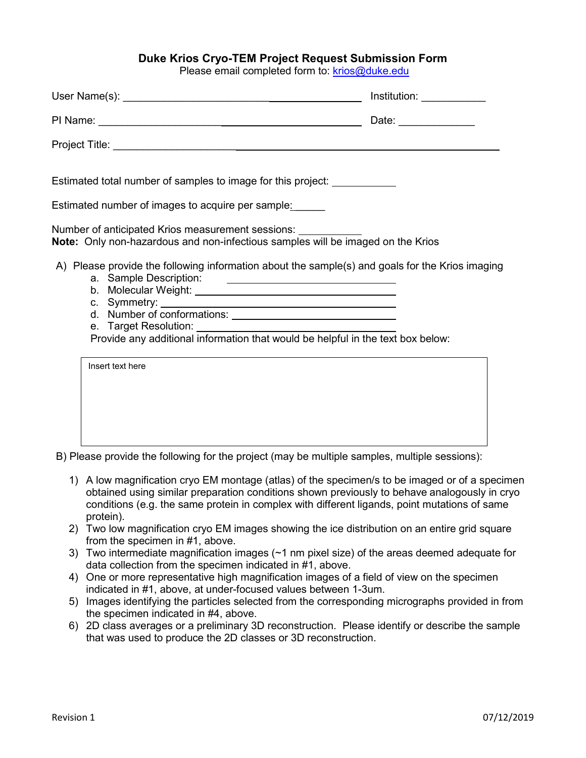## **Duke Krios Cryo-TEM Project Request Submission Form**

Please email completed form to: [krios@duke.edu](mailto:krios@duke.edu)

|                                                                                                                                                                                    | $Institution: \_\_\_\_\_\_\_\_\_\_\_\_\_\_\_\_\_\_\_\_$ |
|------------------------------------------------------------------------------------------------------------------------------------------------------------------------------------|---------------------------------------------------------|
|                                                                                                                                                                                    | Date: ______________                                    |
|                                                                                                                                                                                    |                                                         |
| Estimated total number of samples to image for this project: ____________<br>Estimated number of images to acquire per sample:                                                     |                                                         |
| Number of anticipated Krios measurement sessions:<br>Note: Only non-hazardous and non-infectious samples will be imaged on the Krios                                               |                                                         |
| A) Please provide the following information about the sample(s) and goals for the Krios imaging<br>Provide any additional information that would be helpful in the text box below: |                                                         |
| Insert text here                                                                                                                                                                   |                                                         |

B) Please provide the following for the project (may be multiple samples, multiple sessions):

- 1) A low magnification cryo EM montage (atlas) of the specimen/s to be imaged or of a specimen obtained using similar preparation conditions shown previously to behave analogously in cryo conditions (e.g. the same protein in complex with different ligands, point mutations of same protein).
- 2) Two low magnification cryo EM images showing the ice distribution on an entire grid square from the specimen in #1, above.
- 3) Two intermediate magnification images (~1 nm pixel size) of the areas deemed adequate for data collection from the specimen indicated in #1, above.
- 4) One or more representative high magnification images of a field of view on the specimen indicated in #1, above, at under-focused values between 1-3um.
- 5) Images identifying the particles selected from the corresponding micrographs provided in from the specimen indicated in #4, above.
- 6) 2D class averages or a preliminary 3D reconstruction. Please identify or describe the sample that was used to produce the 2D classes or 3D reconstruction.